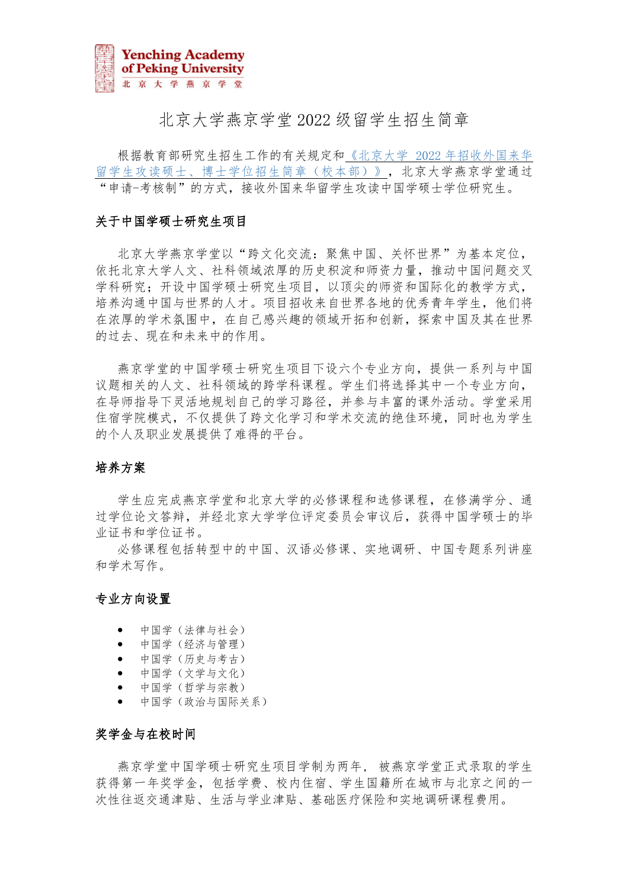

# 北京大学燕京学堂 2022 级留学生招生简章

根据教育部研究生招生工作的有关规定和《北京大学 2022 [年招收外国来华](https://admission.pku.edu.cn/zsxx/lxszs/lxszsjz/index.htm?CSRFT=3UBI-CX2C-GME0-2VQC-THQV-WOC9-WRCP-1C2Z) [留学生攻读硕士、博士学位招生简章\(校本部\)》,](https://admission.pku.edu.cn/zsxx/lxszs/lxszsjz/index.htm?CSRFT=3UBI-CX2C-GME0-2VQC-THQV-WOC9-WRCP-1C2Z)北京大学燕京学堂通过 "申请-考核制"的方式,接收外国来华留学生攻读中国学硕士学位研究生。

### 关于中国学硕士研究生项目

北京大学燕京学堂以"跨文化交流:聚焦中国、关怀世界"为基本定位, 依托北京大学人文、社科领域浓厚的历史积淀和师资力量,推动中国问题交叉 学科研究;开设中国学硕士研究生项目,以顶尖的师资和国际化的教学方式, 培养沟通中国与世界的人才。项目招收来自世界各地的优秀青年学生,他们将 在浓厚的学术氛围中,在自己感兴趣的领域开拓和创新,探索中国及其在世界 的过去、现在和未来中的作用。

燕京学堂的中国学硕士研究生项目下设六个专业方向,提供一系列与中国 议题相关的人文、社科领域的跨学科课程。学生们将选择其中一个专业方向, 在导师指导下灵活地规划自己的学习路径,并参与丰富的课外活动。学堂采用 住宿学院模式,不仅提供了跨文化学习和学术交流的绝佳环境,同时也为学生 的个人及职业发展提供了难得的平台。

### 培养方案

学生应完成燕京学堂和北京大学的必修课程和选修课程,在修满学分、通 过学位论文答辩,并经北京大学学位评定委员会审议后,获得中国学硕士的毕 业证书和学位证书。

必修课程包括转型中的中国、汉语必修课、实地调研、中国专题系列讲座 和学术写作。

### 专业方向设置

- 中国学(法律与社会)
- 中国学(经济与管理)
- 中国学(历史与考古)
- 中国学(文学与文化)
- 中国学(哲学与宗教)
- 中国学(政治与国际关系)

#### 奖学金与在校时间

燕京学堂中国学硕士研究生项目学制为两年, 被燕京学堂正式录取的学生 获得第一年奖学金,包括学费、校内住宿、学生国籍所在城市与北京之间的一 次性往返交通津贴、生活与学业津贴、基础医疗保险和实地调研课程费用。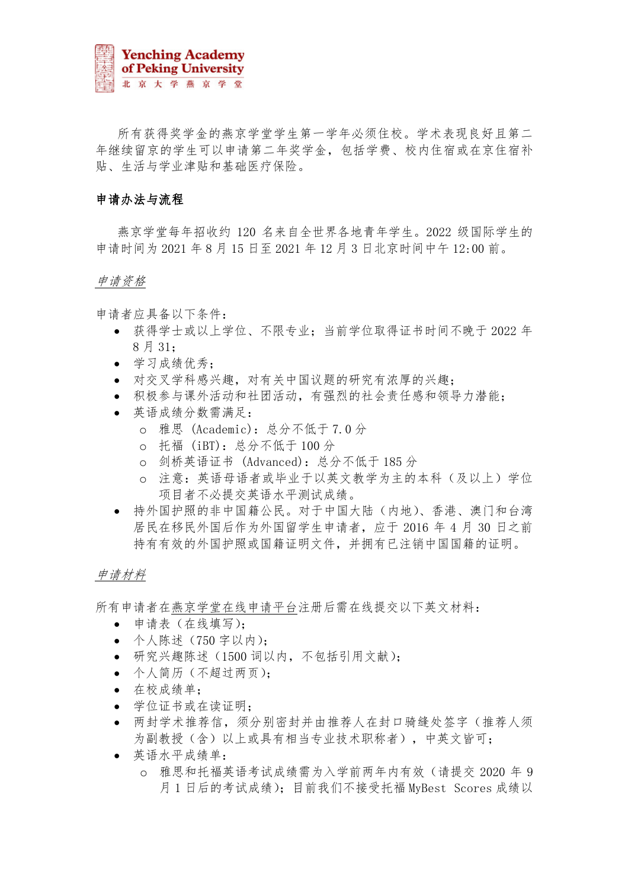

所有获得奖学金的燕京学堂学生第一学年必须住校。学术表现良好且第二 年继续留京的学生可以申请第二年奖学金,包括学费、校内住宿或在京住宿补 贴、生活与学业津贴和基础医疗保险。

### 申请办法与流程

燕京学堂每年招收约 120 名来自全世界各地青年学生。2022 级国际学生的 申请时间为 2021 年 8 月 15 日至 2021 年 12 月 3 日北京时间中午 12:00 前。

#### 申请资格

申请者应具备以下条件:

- 获得学士或以上学位、不限专业;当前学位取得证书时间不晚于 2022 年 8 月 31;
- 学习成绩优秀;
- 对交叉学科感兴趣,对有关中国议题的研究有浓厚的兴趣;
- 积极参与课外活动和社团活动,有强烈的社会责任感和领导力潜能;
- 英语成绩分数需满足:
	- o 雅思 (Academic):总分不低于 7.0 分
	- o 托福 (iBT):总分不低于 100 分
	- o 剑桥英语证书 (Advanced):总分不低于 185 分
	- o 注意:英语母语者或毕业于以英文教学为主的本科(及以上)学位 项目者不必提交英语水平测试成绩。
- 持外国护照的非中国籍公民。对于中国大陆(内地)、香港、澳门和台湾 居民在移民外国后作为外国留学生申请者,应于 2016 年 4 月 30 日之前 持有有效的外国护照或国籍证明文件,并拥有已注销中国国籍的证明。

### 申请材料

所有申请者[在燕京学堂在线申请平台注](https://yenchingacademy.netapply.cn/YENCHING/login.html)册后需在线提交以下英文材料:

- 申请表(在线填写);
- 个人陈述(750 字以内);
- 研究兴趣陈述(1500 词以内,不包括引用文献);
- 个人简历(不超过两页);
- 在校成绩单;
- 学位证书或在读证明;
- 两封学术推荐信,须分别密封并由推荐人在封口骑缝处签字(推荐人须 为副教授(含)以上或具有相当专业技术职称者),中英文皆可;
- 英语水平成绩单:
	- o 雅思和托福英语考试成绩需为入学前两年内有效(请提交 2020 年 9 月 1 日后的考试成绩); 目前我们不接受托福 MyBest Scores 成绩以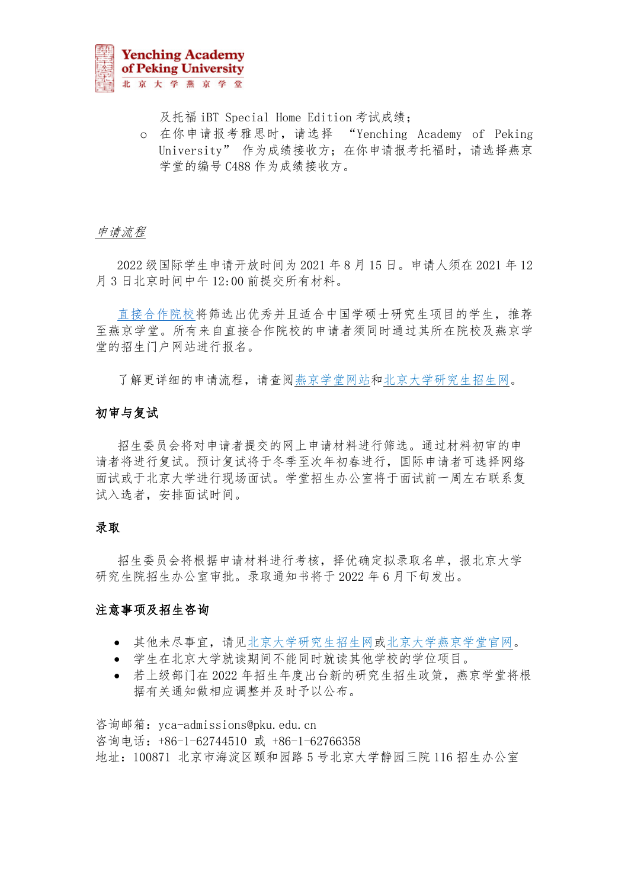

及托福 iBT Special Home Edition 考试成绩;

o 在你申请报考雅思时,请选择 "Yenching Academy of Peking University" 作为成绩接收方; 在你申请报考托福时, 请选择燕京 学堂的编号 C488 作为成绩接收方。

### 申请流程

2022 级国际学生申请开放时间为 2021 年 8 月 15 日。申请人须在 2021 年 12 月 3 日北京时间中午 12:00 前提交所有材料。

[直接合作院校将](https://yenchingacademy.pku.edu.cn/ADMISSIONS/Partner_and_Cooperating_Universities.htm)筛选出优秀并且适合中国学硕士研究生项目的学生,推荐 至燕京学堂。所有来自直接合作院校的申请者须同时通过其所在院校及燕京学 堂的招生门户网站进行报名。

了解更详细的申请流程,请查[阅燕京学堂网站和](https://yenchingacademy.pku.edu.cn/)[北京大学研究生招生网。](https://admission.pku.edu.cn/zsxx/lxszs/index.htm)

### 初审与复试

招生委员会将对申请者提交的网上申请材料进行筛选。通过材料初审的申 请者将进行复试。预计复试将于冬季至次年初春进行,国际申请者可选择网络 面试或于北京大学进行现场面试。学堂招生办公室将于面试前一周左右联系复 试入选者,安排面试时间。

#### 录取

招生委员会将根据申请材料进行考核,择优确定拟录取名单,报北京大学 研究生院招生办公室审批。录取通知书将于 2022 年 6 月下旬发出。

### 注意事项及招生咨询

- 其他未尽事宜,请[见北京大学研究生招生网或](https://admission.pku.edu.cn/zsxx/lxszs/index.htm)[北京大学燕京学堂官网。](https://yenchingacademy.pku.edu.cn/)
- 学生在北京大学就读期间不能同时就读其他学校的学位项目。
- 若上级部门在 2022 年招生年度出台新的研究生招生政策,燕京学堂将根 据有关通知做相应调整并及时予以公布。

咨询邮箱: yca-admissions@pku.edu.cn 咨询电话:+86-1-62744510 或 +86-1-62766358 地址:100871 北京市海淀区颐和园路 5 号北京大学静园三院 116 招生办公室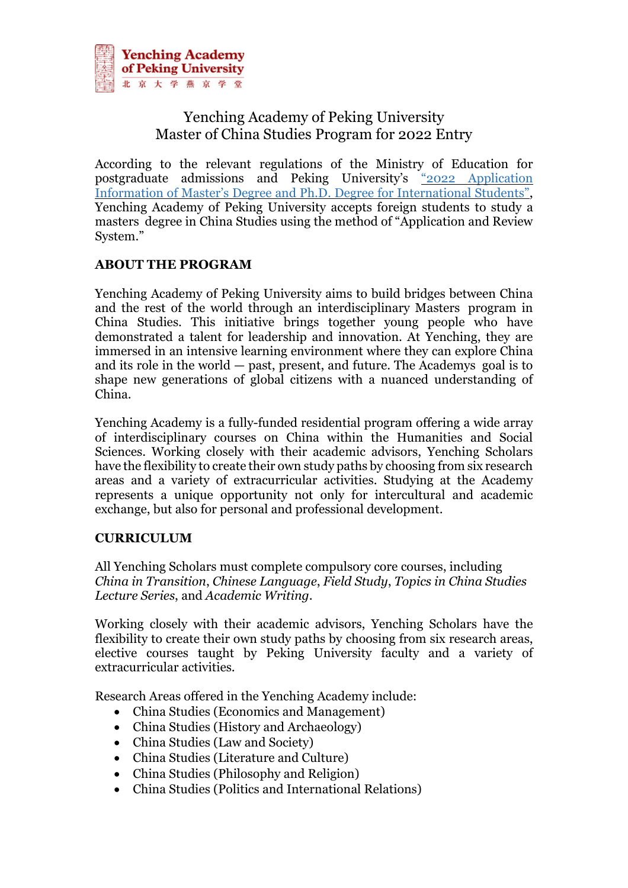

# Yenching Academy of Peking University Master of China Studies Program for 2022 Entry

According to the relevant regulations of the Ministry of Education for postgraduate admissions and Peking University's "2022 [Application](https://admission.pku.edu.cn/zsxx/lxszs/lxszsjz/index.htm?CSRFT=3UBI-CX2C-GME0-2VQC-THQV-WOC9-WRCP-1C2Z) Information of Master's Degree and Ph.D. Degree for [International](https://admission.pku.edu.cn/zsxx/lxszs/lxszsjz/index.htm?CSRFT=3UBI-CX2C-GME0-2VQC-THQV-WOC9-WRCP-1C2Z) Students", Yenching Academy of Peking University accepts foreign students to study a masters degree in China Studies using the method of "Application and Review System."

# **ABOUT THE PROGRAM**

Yenching Academy of Peking University aims to build bridges between China and the rest of the world through an interdisciplinary Masters program in China Studies. This initiative brings together young people who have demonstrated a talent for leadership and innovation. At Yenching, they are immersed in an intensive learning environment where they can explore China and its role in the world — past, present, and future. The Academys goal is to shape new generations of global citizens with a nuanced understanding of China.

Yenching Academy is a fully-funded residential program offering a wide array of interdisciplinary courses on China within the Humanities and Social Sciences. Working closely with their academic advisors, Yenching Scholars have the flexibility to create their own study paths by choosing from six research areas and a variety of extracurricular activities. Studying at the Academy represents a unique opportunity not only for intercultural and academic exchange, but also for personal and professional development.

# **CURRICULUM**

All Yenching Scholars must complete compulsory core courses, including *China in Transition*, *Chinese Language*, *Field Study*, *Topics in China Studies Lecture Series*, and *Academic Writing*.

Working closely with their academic advisors, Yenching Scholars have the flexibility to create their own study paths by choosing from six research areas, elective courses taught by Peking University faculty and a variety of extracurricular activities.

Research Areas offered in the Yenching Academy include:

- China Studies (Economics and Management)
- China Studies (History and Archaeology)
- China Studies (Law and Society)
- China Studies (Literature and Culture)
- China Studies (Philosophy and Religion)
- China Studies (Politics and International Relations)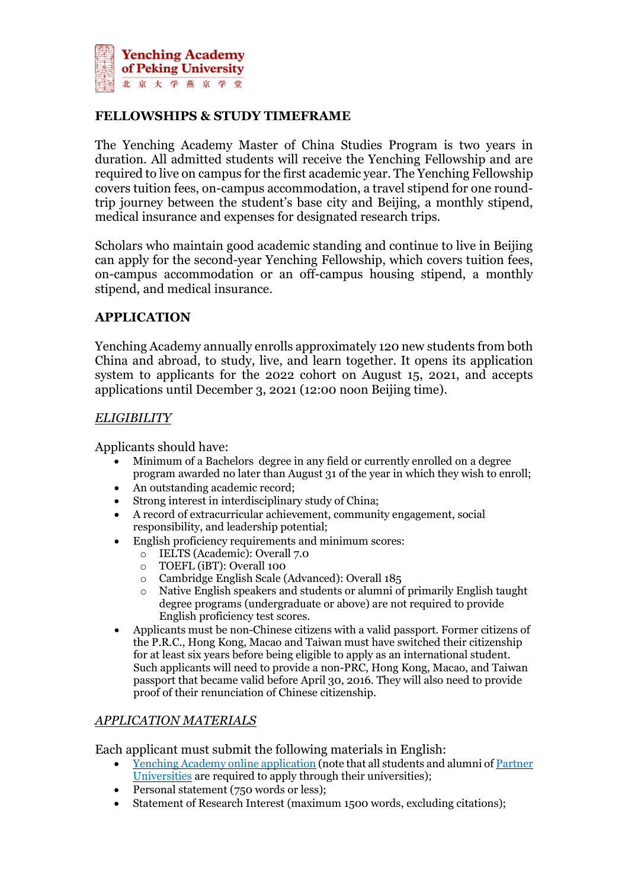

# **FELLOWSHIPS & STUDY TIMEFRAME**

The Yenching Academy Master of China Studies Program is two years in duration. All admitted students will receive the Yenching Fellowship and are required to live on campus for the first academic year. The Yenching Fellowship covers tuition fees, on-campus accommodation, a travel stipend for one roundtrip journey between the student's base city and Beijing, a monthly stipend, medical insurance and expenses for designated research trips.

Scholars who maintain good academic standing and continue to live in Beijing can apply for the second-year Yenching Fellowship, which covers tuition fees, on-campus accommodation or an off-campus housing stipend, a monthly stipend, and medical insurance.

# **APPLICATION**

Yenching Academy annually enrolls approximately 120 new students from both China and abroad, to study, live, and learn together. It opens its application system to applicants for the 2022 cohort on August 15, 2021, and accepts applications until December 3, 2021 (12:00 noon Beijing time).

# *ELIGIBILITY*

Applicants should have:

- Minimum of a Bachelors degree in any field or currently enrolled on a degree program awarded no later than August 31 of the year in which they wish to enroll;
- An outstanding academic record;
- Strong interest in interdisciplinary study of China;
- A record of extracurricular achievement, community engagement, social responsibility, and leadership potential;
- English proficiency requirements and minimum scores:
	- o IELTS (Academic): Overall 7.0
	- o TOEFL (iBT): Overall 100
	- o Cambridge English Scale (Advanced): Overall 185
	- o Native English speakers and students or alumni of primarily English taught degree programs (undergraduate or above) are not required to provide English proficiency test scores.
- Applicants must be non-Chinese citizens with a valid passport. Former citizens of the P.R.C., Hong Kong, Macao and Taiwan must have switched their citizenship for at least six years before being eligible to apply as an international student. Such applicants will need to provide a non-PRC, Hong Kong, Macao, and Taiwan passport that became valid before April 30, 2016. They will also need to provide proof of their renunciation of Chinese citizenship.

# *APPLICATION MATERIALS*

Each applicant must submit the following materials in English:

- Yenching Academy online [application](https://yenchingacademy.netapply.cn/YENCHING/login.html) (note that all students and alumni of [Partner](https://yenchingacademy.pku.edu.cn/ADMISSIONS/Partner_and_Cooperating_Universities.htm) [Universities](https://yenchingacademy.pku.edu.cn/ADMISSIONS/Partner_and_Cooperating_Universities.htm) are required to apply through their universities);
- Personal statement (750 words or less);
- Statement of Research Interest (maximum 1500 words, excluding citations);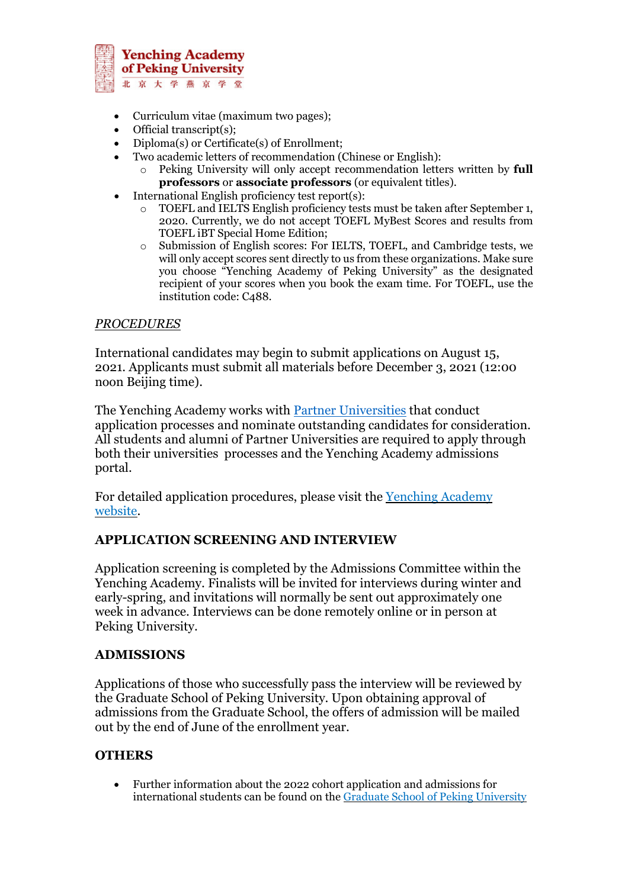

- Curriculum vitae (maximum two pages);
- Official transcript(s);
- Diploma(s) or Certificate(s) of Enrollment;
- Two academic letters of recommendation (Chinese or English):
	- o Peking University will only accept recommendation letters written by **full professors** or **associate professors** (or equivalent titles).
- International English proficiency test report(s):
	- TOEFL and IELTS English proficiency tests must be taken after September 1, 2020. Currently, we do not accept TOEFL MyBest Scores and results from TOEFL iBT Special Home Edition;
	- o Submission of English scores: For IELTS, TOEFL, and Cambridge tests, we will only accept scores sent directly to us from these organizations. Make sure you choose "Yenching Academy of Peking University" as the designated recipient of your scores when you book the exam time. For TOEFL, use the institution code: C488.

### *PROCEDURES*

International candidates may begin to submit applications on August 15, 2021. Applicants must submit all materials before December 3, 2021 (12:00 noon Beijing time).

The Yenching Academy works with **Partner [Universities](https://yenchingacademy.pku.edu.cn/ADMISSIONS/Partner_and_Cooperating_Universities.htm)** that conduct application processes and nominate outstanding candidates for consideration. All students and alumni of Partner Universities are required to apply through both their universities processes and the Yenching Academy admissions portal.

For detailed application procedures, please visit the [Yenching](https://yenchingacademy.pku.edu.cn/ADMISSIONS.htm) Academy [website.](https://yenchingacademy.pku.edu.cn/ADMISSIONS.htm)

# **APPLICATION SCREENING AND INTERVIEW**

Application screening is completed by the Admissions Committee within the Yenching Academy. Finalists will be invited for interviews during winter and early-spring, and invitations will normally be sent out approximately one week in advance. Interviews can be done remotely online or in person at Peking University.

# **ADMISSIONS**

Applications of those who successfully pass the interview will be reviewed by the Graduate School of Peking University. Upon obtaining approval of admissions from the Graduate School, the offers of admission will be mailed out by the end of June of the enrollment year.

# **OTHERS**

• Further information about the 2022 cohort application and admissions for international students can be found on the Graduate School of Peking [University](https://admission.pku.edu.cn/zsxx/lxszs/index.htm)